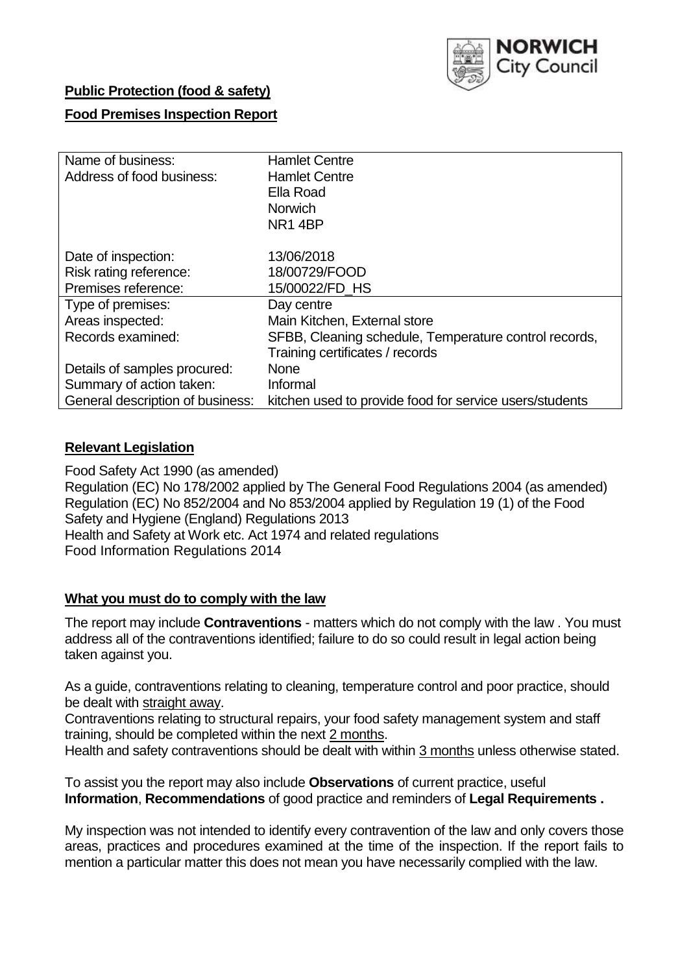

## **Public Protection (food & safety)**

# **Food Premises Inspection Report**

| Name of business:                | <b>Hamlet Centre</b>                                    |
|----------------------------------|---------------------------------------------------------|
| Address of food business:        | <b>Hamlet Centre</b>                                    |
|                                  | Ella Road                                               |
|                                  | <b>Norwich</b>                                          |
|                                  | NR14BP                                                  |
|                                  |                                                         |
| Date of inspection:              | 13/06/2018                                              |
| Risk rating reference:           | 18/00729/FOOD                                           |
| Premises reference:              | 15/00022/FD HS                                          |
| Type of premises:                | Day centre                                              |
| Areas inspected:                 | Main Kitchen, External store                            |
| Records examined:                | SFBB, Cleaning schedule, Temperature control records,   |
|                                  | Training certificates / records                         |
| Details of samples procured:     | <b>None</b>                                             |
| Summary of action taken:         | Informal                                                |
| General description of business: | kitchen used to provide food for service users/students |

### **Relevant Legislation**

Food Safety Act 1990 (as amended) Regulation (EC) No 178/2002 applied by The General Food Regulations 2004 (as amended) Regulation (EC) No 852/2004 and No 853/2004 applied by Regulation 19 (1) of the Food Safety and Hygiene (England) Regulations 2013 Health and Safety at Work etc. Act 1974 and related regulations Food Information Regulations 2014

### **What you must do to comply with the law**

The report may include **Contraventions** - matters which do not comply with the law . You must address all of the contraventions identified; failure to do so could result in legal action being taken against you.

As a guide, contraventions relating to cleaning, temperature control and poor practice, should be dealt with straight away.

Contraventions relating to structural repairs, your food safety management system and staff training, should be completed within the next 2 months.

Health and safety contraventions should be dealt with within 3 months unless otherwise stated.

To assist you the report may also include **Observations** of current practice, useful **Information**, **Recommendations** of good practice and reminders of **Legal Requirements .**

My inspection was not intended to identify every contravention of the law and only covers those areas, practices and procedures examined at the time of the inspection. If the report fails to mention a particular matter this does not mean you have necessarily complied with the law.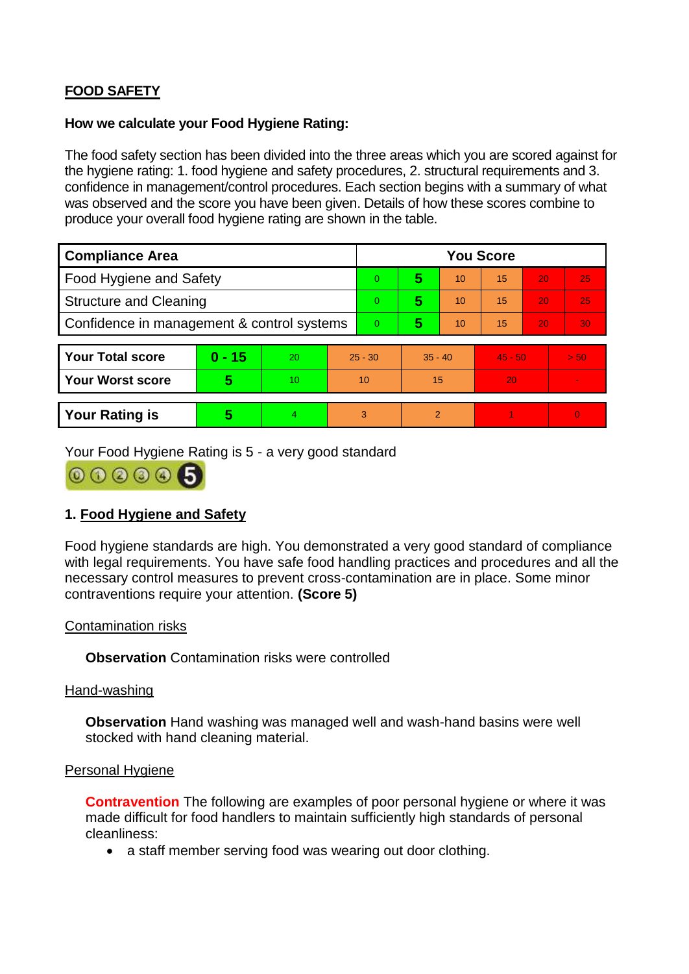# **FOOD SAFETY**

### **How we calculate your Food Hygiene Rating:**

The food safety section has been divided into the three areas which you are scored against for the hygiene rating: 1. food hygiene and safety procedures, 2. structural requirements and 3. confidence in management/control procedures. Each section begins with a summary of what was observed and the score you have been given. Details of how these scores combine to produce your overall food hygiene rating are shown in the table.

| <b>Compliance Area</b>                     |          |    |                | <b>You Score</b> |                |    |           |    |                |  |  |
|--------------------------------------------|----------|----|----------------|------------------|----------------|----|-----------|----|----------------|--|--|
| Food Hygiene and Safety                    |          |    |                | 0                | 5              | 10 | 15        | 20 | 25             |  |  |
| <b>Structure and Cleaning</b>              |          |    | $\Omega$       | 5                | 10             | 15 | 20        | 25 |                |  |  |
| Confidence in management & control systems |          |    | $\overline{0}$ | 5                | 10             | 15 | 20        | 30 |                |  |  |
|                                            |          |    |                |                  |                |    |           |    |                |  |  |
| <b>Your Total score</b>                    | $0 - 15$ | 20 | $25 - 30$      |                  | $35 - 40$      |    | $45 - 50$ |    | > 50           |  |  |
| <b>Your Worst score</b>                    | 5        | 10 | 10             |                  | 15             |    | 20        |    | $\blacksquare$ |  |  |
|                                            |          |    |                |                  |                |    |           |    |                |  |  |
| <b>Your Rating is</b>                      | 5        | 4. | 3              |                  | $\overline{2}$ |    |           |    | $\overline{0}$ |  |  |

Your Food Hygiene Rating is 5 - a very good standard



# **1. Food Hygiene and Safety**

Food hygiene standards are high. You demonstrated a very good standard of compliance with legal requirements. You have safe food handling practices and procedures and all the necessary control measures to prevent cross-contamination are in place. Some minor contraventions require your attention. **(Score 5)**

### Contamination risks

**Observation** Contamination risks were controlled

#### Hand-washing

**Observation** Hand washing was managed well and wash-hand basins were well stocked with hand cleaning material.

#### Personal Hygiene

**Contravention** The following are examples of poor personal hygiene or where it was made difficult for food handlers to maintain sufficiently high standards of personal cleanliness:

• a staff member serving food was wearing out door clothing.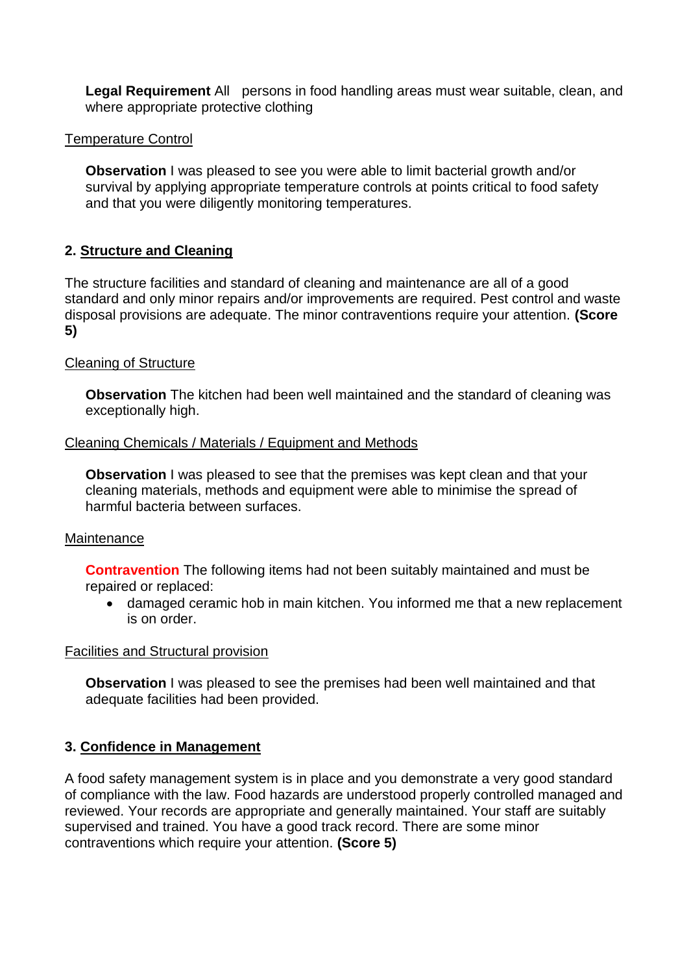**Legal Requirement** All persons in food handling areas must wear suitable, clean, and where appropriate protective clothing

### Temperature Control

**Observation** I was pleased to see you were able to limit bacterial growth and/or survival by applying appropriate temperature controls at points critical to food safety and that you were diligently monitoring temperatures.

# **2. Structure and Cleaning**

The structure facilities and standard of cleaning and maintenance are all of a good standard and only minor repairs and/or improvements are required. Pest control and waste disposal provisions are adequate. The minor contraventions require your attention. **(Score 5)**

# Cleaning of Structure

**Observation** The kitchen had been well maintained and the standard of cleaning was exceptionally high.

### Cleaning Chemicals / Materials / Equipment and Methods

**Observation** I was pleased to see that the premises was kept clean and that your cleaning materials, methods and equipment were able to minimise the spread of harmful bacteria between surfaces.

### **Maintenance**

**Contravention** The following items had not been suitably maintained and must be repaired or replaced:

 damaged ceramic hob in main kitchen. You informed me that a new replacement is on order.

### Facilities and Structural provision

**Observation** I was pleased to see the premises had been well maintained and that adequate facilities had been provided.

### **3. Confidence in Management**

A food safety management system is in place and you demonstrate a very good standard of compliance with the law. Food hazards are understood properly controlled managed and reviewed. Your records are appropriate and generally maintained. Your staff are suitably supervised and trained. You have a good track record. There are some minor contraventions which require your attention. **(Score 5)**